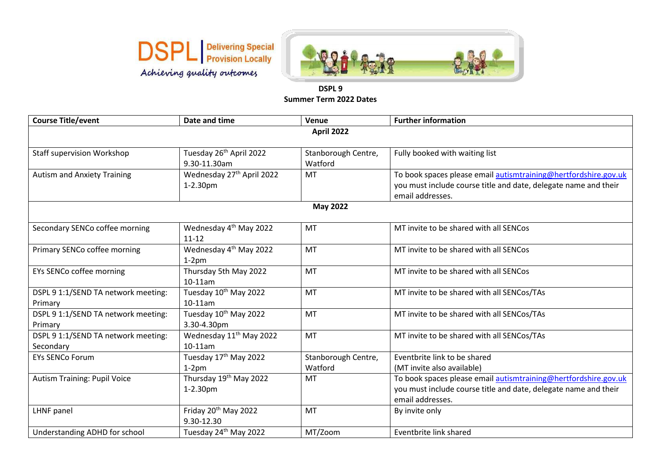



## **DSPL 9 Summer Term 2022 Dates**

| <b>Course Title/event</b>           | Date and time                         | Venue               | <b>Further information</b>                                      |  |  |
|-------------------------------------|---------------------------------------|---------------------|-----------------------------------------------------------------|--|--|
| <b>April 2022</b>                   |                                       |                     |                                                                 |  |  |
|                                     |                                       |                     |                                                                 |  |  |
| <b>Staff supervision Workshop</b>   | Tuesday 26 <sup>th</sup> April 2022   | Stanborough Centre, | Fully booked with waiting list                                  |  |  |
|                                     | 9.30-11.30am                          | Watford             |                                                                 |  |  |
| <b>Autism and Anxiety Training</b>  | Wednesday 27 <sup>th</sup> April 2022 | <b>MT</b>           | To book spaces please email autismtraining@hertfordshire.gov.uk |  |  |
|                                     | 1-2.30pm                              |                     | you must include course title and date, delegate name and their |  |  |
|                                     |                                       |                     | email addresses.                                                |  |  |
| <b>May 2022</b>                     |                                       |                     |                                                                 |  |  |
|                                     |                                       |                     |                                                                 |  |  |
| Secondary SENCo coffee morning      | Wednesday 4 <sup>th</sup> May 2022    | MT                  | MT invite to be shared with all SENCos                          |  |  |
|                                     | $11 - 12$                             |                     |                                                                 |  |  |
| Primary SENCo coffee morning        | Wednesday 4 <sup>th</sup> May 2022    | <b>MT</b>           | MT invite to be shared with all SENCos                          |  |  |
|                                     | $1-2pm$                               |                     |                                                                 |  |  |
| EYs SENCo coffee morning            | Thursday 5th May 2022                 | <b>MT</b>           | MT invite to be shared with all SENCos                          |  |  |
|                                     | 10-11am                               |                     |                                                                 |  |  |
| DSPL 9 1:1/SEND TA network meeting: | Tuesday 10 <sup>th</sup> May 2022     | <b>MT</b>           | MT invite to be shared with all SENCos/TAs                      |  |  |
| Primary                             | $10-11$ am                            |                     |                                                                 |  |  |
| DSPL 9 1:1/SEND TA network meeting: | Tuesday 10 <sup>th</sup> May 2022     | MT                  | MT invite to be shared with all SENCos/TAs                      |  |  |
| Primary                             | 3.30-4.30pm                           |                     |                                                                 |  |  |
| DSPL 9 1:1/SEND TA network meeting: | Wednesday 11 <sup>th</sup> May 2022   | MT                  | MT invite to be shared with all SENCos/TAs                      |  |  |
| Secondary                           | 10-11am                               |                     |                                                                 |  |  |
| <b>EYs SENCo Forum</b>              | Tuesday 17 <sup>th</sup> May 2022     | Stanborough Centre, | Eventbrite link to be shared                                    |  |  |
|                                     | $1-2$ pm                              | Watford             | (MT invite also available)                                      |  |  |
| <b>Autism Training: Pupil Voice</b> | Thursday 19 <sup>th</sup> May 2022    | MT                  | To book spaces please email autismtraining@hertfordshire.gov.uk |  |  |
|                                     | 1-2.30pm                              |                     | you must include course title and date, delegate name and their |  |  |
|                                     |                                       |                     | email addresses.                                                |  |  |
| LHNF panel                          | Friday 20 <sup>th</sup> May 2022      | <b>MT</b>           | By invite only                                                  |  |  |
|                                     | 9.30-12.30                            |                     |                                                                 |  |  |
| Understanding ADHD for school       | Tuesday 24 <sup>th</sup> May 2022     | MT/Zoom             | Eventbrite link shared                                          |  |  |